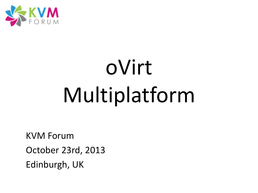

# oVirt Multiplatform

KVM Forum October 23rd, 2013 Edinburgh, UK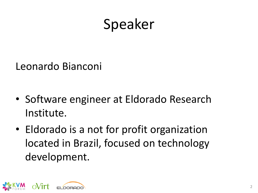### Speaker

Leonardo Bianconi

- Software engineer at Eldorado Research Institute.
- Eldorado is a not for profit organization located in Brazil, focused on technology development.

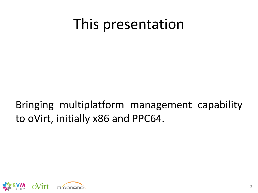### This presentation

Bringing multiplatform management capability to oVirt, initially x86 and PPC64.

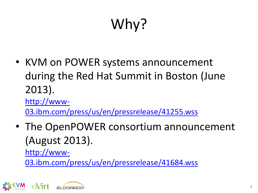# Why?

• KVM on POWER systems announcement during the Red Hat Summit in Boston (June 2013).

[http://www-](http://www-03.ibm.com/press/us/en/pressrelease/41255.wss)[03.ibm.com/press/us/en/pressrelease/41255.wss](http://www-03.ibm.com/press/us/en/pressrelease/41255.wss)

• The OpenPOWER consortium announcement (August 2013).

[http://www-](http://www-03.ibm.com/press/us/en/pressrelease/41684.wss)

[03.ibm.com/press/us/en/pressrelease/41684.wss](http://www-03.ibm.com/press/us/en/pressrelease/41684.wss)

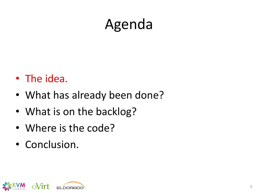## Agenda

- The idea.
- What has already been done?
- What is on the backlog?
- Where is the code?
- Conclusion.

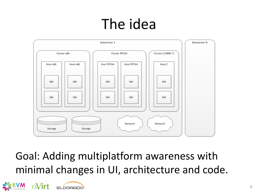## The idea



Goal: Adding multiplatform awareness with minimal changes in UI, architecture and code.

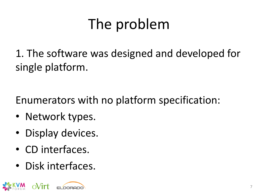## The problem

1. The software was designed and developed for single platform.

Enumerators with no platform specification:

- Network types.
- Display devices.
- CD interfaces.
- Disk interfaces.

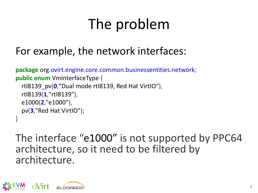## The problem

#### For example, the network interfaces:

```
package org.ovirt.engine.core.common.businessentities.network;
public enum VmInterfaceType {
   rtl8139_pv(0,"Dual mode rtl8139, Red Hat VirtIO"),
   rtl8139(1,"rtl8139"),
   e1000(2,"e1000"),
   pv(3,"Red Hat VirtIO");
}
```
The interface "e1000" is not supported by PPC64 architecture, so it need to be filtered by architecture.

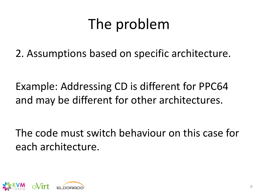## The problem

2. Assumptions based on specific architecture.

Example: Addressing CD is different for PPC64 and may be different for other architectures.

The code must switch behaviour on this case for each architecture.

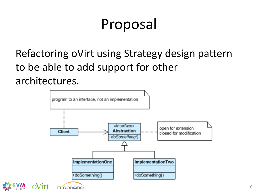### Proposal

Refactoring oVirt using Strategy design pattern to be able to add support for other architectures.

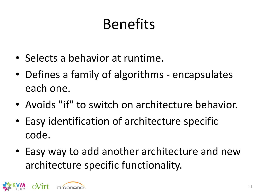## Benefits

- Selects a behavior at runtime.
- Defines a family of algorithms encapsulates each one.
- Avoids "if" to switch on architecture behavior.
- Easy identification of architecture specific code.
- Easy way to add another architecture and new architecture specific functionality.

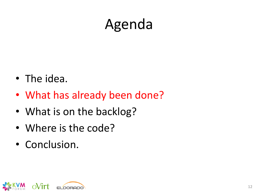## Agenda

- The idea.
- What has already been done?
- What is on the backlog?
- Where is the code?
- Conclusion.

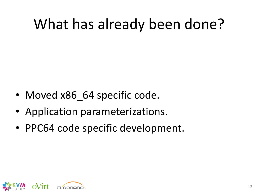## What has already been done?

- Moved x86 64 specific code.
- Application parameterizations.
- PPC64 code specific development.

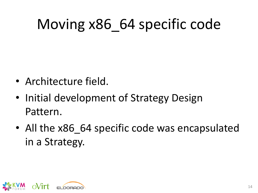## Moving x86\_64 specific code

- Architecture field.
- Initial development of Strategy Design Pattern.
- All the x86 64 specific code was encapsulated in a Strategy.

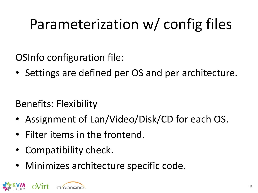## Parameterization w/ config files

OSInfo configuration file:

• Settings are defined per OS and per architecture.

Benefits: Flexibility

- Assignment of Lan/Video/Disk/CD for each OS.
- Filter items in the frontend.
- Compatibility check.
- Minimizes architecture specific code.

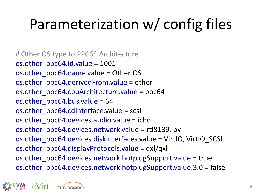## Parameterization w/ config files

# Other OS type to PPC64 Architecture os.other\_ppc64.id.value = 1001 os.other\_ppc64.name.value = Other OS os.other ppc64.derivedFrom.value = other os.other  $ppc64.cpuArchitecture.value = ppc64$ os.other\_ppc64.bus.value = 64 os.other\_ppc64.cdInterface.value = scsi os.other\_ppc64.devices.audio.value = ich6 os.other\_ppc64.devices.network.value = rtl8139, pv os.other\_ppc64.devices.diskInterfaces.value = VirtIO, VirtIO\_SCSI os.other\_ppc64.displayProtocols.value = qxl/qxl os.other\_ppc64.devices.network.hotplugSupport.value = true os.other\_ppc64.devices.network.hotplugSupport.value.3.0 = false

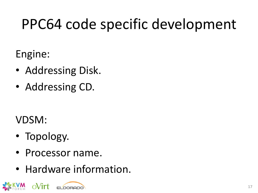## PPC64 code specific development

Engine:

- Addressing Disk.
- Addressing CD.

VDSM:

- Topology.
- Processor name.
- Hardware information.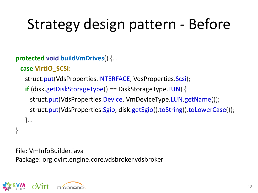## Strategy design pattern - Before

**protected void buildVmDrives**() {...

```
 case VirtIO_SCSI:
```
struct.put(VdsProperties.INTERFACE, VdsProperties.Scsi);

 **if** (disk.getDiskStorageType() == DiskStorageType.LUN) { struct.put(VdsProperties.Device, VmDeviceType.LUN.getName()); struct.put(VdsProperties.Sgio, disk.getSgio().toString().toLowerCase()); }...

```
File: VmInfoBuilder.java
Package: org.ovirt.engine.core.vdsbroker.vdsbroker
```


}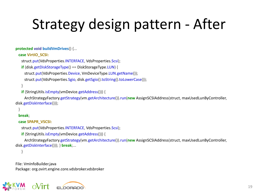## Strategy design pattern - After

#### **protected void buildVmDrives**() {...

#### **case VirtIO\_SCSI:**

```
 struct.put(VdsProperties.INTERFACE, VdsProperties.Scsi);
```

```
 if (disk.getDiskStorageType() == DiskStorageType.LUN) {
```
struct.put(VdsProperties.Device, VmDeviceType.LUN.getName());

struct.put(VdsProperties.Sgio, disk.getSgio().toString().toLowerCase());

```
 if (StringUtils.isEmpty(vmDevice.getAddress())) {
```
 ArchStrategyFactory.getStrategy(vm.getArchitecture()).run(**new** AssignSCSIAddress(struct, maxUsedLunByController, disk.getDiskInterface()));

```
 }
```
}

 **break**;

 **case SPAPR\_VSCSI:**

struct.put(VdsProperties.INTERFACE, VdsProperties.Scsi);

 **if** (StringUtils.isEmpty(vmDevice.getAddress())) {

 ArchStrategyFactory.getStrategy(vm.getArchitecture()).run(**new** AssignSCSIAddress(struct, maxUsedLunByController, disk.getDiskInterface())); } **break**;...

}

File: VmInfoBuilder.java Package: org.ovirt.engine.core.vdsbroker.vdsbroker

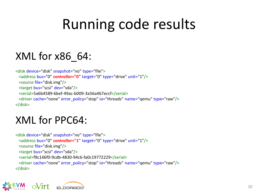## Running code results

#### XML for x86\_64:

```
<disk device="disk" snapshot="no" type="file">
  <address bus="0" controller="0" target="0" type="drive" unit="1"/>
  <source file="disk.img"/>
  <target bus="scsi" dev="sda"/>
  <serial>5a6b4589-6bef-49ac-b009-3a56a467eccf</serial>
  <driver cache="none" error_policy="stop" io="threads" name="qemu" type="raw"/>
</disk>
```
#### XML for PPC64:

```
<disk device="disk" snapshot="no" type="file">
  <address bus="0" controller="1" target="0" type="drive" unit="1"/>
  <source file="disk.img"/>
  <target bus="scsi" dev="sda"/>
  <serial>f9c146f0-9cdb-4830-94c6-fa0c19772229</serial>
  <driver cache="none" error_policy="stop" io="threads" name="qemu" type="raw"/>
</disk>
```
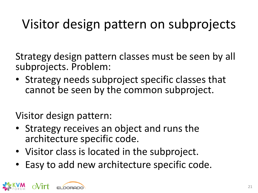### Visitor design pattern on subprojects

Strategy design pattern classes must be seen by all subprojects. Problem:

• Strategy needs subproject specific classes that cannot be seen by the common subproject.

Visitor design pattern:

- Strategy receives an object and runs the architecture specific code.
- Visitor class is located in the subproject.
- Easy to add new architecture specific code.

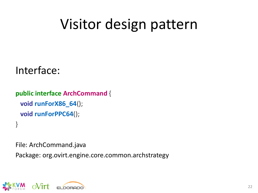## Visitor design pattern

#### Interface:

```
public interface ArchCommand {
  void runForX86_64();
  void runForPPC64();
}
```
File: ArchCommand.java

Package: org.ovirt.engine.core.common.archstrategy

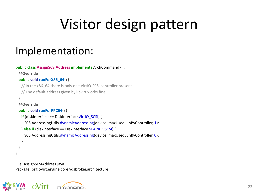## Visitor design pattern

#### Implementation:

```
public class AssignSCSIAddress implements ArchCommand {...
  @Override
  public void runForX86_64() {
  // In the x86 64 there is only one VirtIO-SCSI controller present.
    // The default address given by libvirt works fine
 }
  @Override
  public void runForPPC64() {
    if (diskInterface == DiskInterface.VirtIO_SCSI) {
     SCSIAddressingUtils.dynamicAddressing(device, maxUsedLunByController, 1);
    } else if (diskInterface == DiskInterface.SPAPR_VSCSI) {
     SCSIAddressingUtils.dynamicAddressing(device, maxUsedLunByController, 0);
 }
 }
}
```
File: AssignSCSIAddress.java Package: org.ovirt.engine.core.vdsbroker.architecture

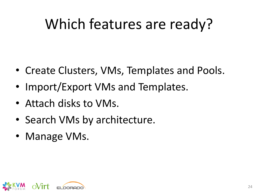## Which features are ready?

- Create Clusters, VMs, Templates and Pools.
- Import/Export VMs and Templates.
- Attach disks to VMs.
- Search VMs by architecture.
- Manage VMs.

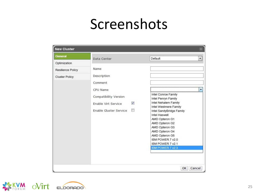| <b>New Cluster</b>                |                                                                                                                                 | $\circledast$                                                                                                                                                                                                                                                                                  |
|-----------------------------------|---------------------------------------------------------------------------------------------------------------------------------|------------------------------------------------------------------------------------------------------------------------------------------------------------------------------------------------------------------------------------------------------------------------------------------------|
| General                           | Data Center                                                                                                                     | Default<br><b>*</b>                                                                                                                                                                                                                                                                            |
| Optimization<br>Resilience Policy | Name                                                                                                                            |                                                                                                                                                                                                                                                                                                |
| Cluster Policy                    | Description<br>Comment<br>CPU Name<br>Compatibility Version<br>$\sqrt{2}$<br>Enable Virt Service<br>F<br>Enable Gluster Service | Intel Conroe Family<br>Intel Penryn Family<br>Intel Nehalem Family<br>Intel Westmere Family<br>Intel SandyBridge Family<br>Intel Haswell<br>AMD Opteron G1<br>AMD Opteron G2<br>AMD Opteron G3<br>AMD Opteron G4<br>AMD Opteron G5<br>IBM POWER 7 v2.0<br>IBM POWER 7 v2.1<br>IBM POWER 7 v2.3 |
|                                   |                                                                                                                                 | Cancel<br>OK                                                                                                                                                                                                                                                                                   |

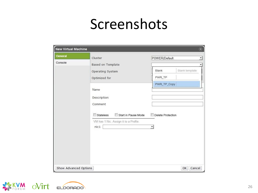| General | Cluster                                                                                       | POWER/Default                                 | $\overline{\phantom{a}}$ |
|---------|-----------------------------------------------------------------------------------------------|-----------------------------------------------|--------------------------|
| Console | Based on Template                                                                             |                                               |                          |
|         | Operating System                                                                              | Blank                                         | Blank template           |
|         | Optimized for                                                                                 | PWR_TP                                        |                          |
|         | Name                                                                                          | PWR_TP_Copy                                   |                          |
|         | Description<br>Comment                                                                        |                                               |                          |
|         |                                                                                               | F                                             |                          |
|         | Stateless<br>Start in Pause Mode<br>VM has 1 Nic. Assign it to a Profile.<br>nic <sub>1</sub> | Delete Protection<br>$\overline{\phantom{a}}$ |                          |

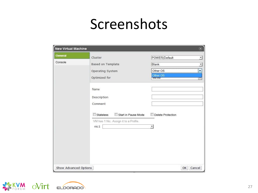| <b>General</b> | Cluster                               | POWER/Default     |
|----------------|---------------------------------------|-------------------|
| Console        | Based on Template                     | Blank             |
|                | Operating System                      | Other OS          |
|                |                                       | Other OS          |
|                | Optimized for                         | berver            |
|                | Name                                  |                   |
|                | Description                           |                   |
|                | Comment                               |                   |
|                | Stateless<br>Start in Pause Mode      | Delete Protection |
|                | VM has 1 Nic. Assign it to a Profile. |                   |
|                | nic <sub>1</sub>                      | ▼                 |
|                |                                       |                   |
|                |                                       |                   |
|                |                                       |                   |
|                |                                       |                   |
|                |                                       |                   |

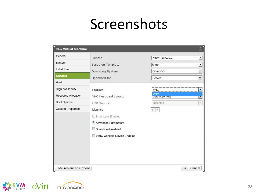| <b>New Virtual Machine</b>                      |                                                                                                            |                              | $\circledast$                              |
|-------------------------------------------------|------------------------------------------------------------------------------------------------------------|------------------------------|--------------------------------------------|
| General<br>System                               | Cluster                                                                                                    | POWER/Default                | $\overline{ }$                             |
| Initial Run                                     | Based on Template<br>Operating System                                                                      | <b>Blank</b><br>Other OS     | $\overline{ }$<br>$\overline{\phantom{0}}$ |
| <b>Console</b><br>Host                          | Optimized for                                                                                              | Server                       | $\overline{\phantom{0}}$                   |
| <b>High Availability</b><br>Resource Allocation | Protocol                                                                                                   | <b>VNC</b><br>VNC            | ▼                                          |
| Boot Options                                    | VNC Keyboard Layout<br>USB Support                                                                         | uerault jerr-usj<br>Disabled | ÷                                          |
| <b>Custom Properties</b>                        | Monitors<br>Smartcard Enabled<br>Advanced Parameters<br>Soundcard enabled<br>VirtIO Console Device Enabled | $\mathcal{L}_{\mathcal{F}}$  |                                            |
| Hide Advanced Options                           |                                                                                                            | OK                           | Cancel                                     |

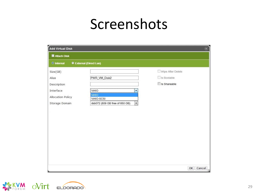| <b>Add Virtual Disk</b><br>$\circledast$ |                                                            |                    |
|------------------------------------------|------------------------------------------------------------|--------------------|
| <b>N</b> Attach Disk                     |                                                            |                    |
| O Internal                               | <b>External (Direct Lun)</b>                               |                    |
| Size(GB)                                 |                                                            | Wipe After Delete  |
| Alias                                    | PWR_VM_Disk2                                               | $\Box$ Is Bootable |
| Description                              |                                                            | Is Shareable       |
| Interface                                | VirtIO<br>۰                                                |                    |
| Allocation Policy                        | VirtIO<br>VirtIO-SCSI                                      |                    |
| Storage Domain                           | $\overline{\phantom{a}}$<br>dsb072 (609 GB free of 650 GB) |                    |
|                                          |                                                            |                    |
|                                          |                                                            |                    |

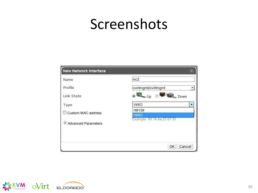| <b>New Network Interface</b> |                                      |
|------------------------------|--------------------------------------|
| Name                         | nic2                                 |
| Profile                      | ovirtmgmt/ovirtmgmt                  |
| Link State                   | <b>In Down</b><br>Up-                |
| Type                         | VirtIO                               |
| Custom MAC address           | rtl8139                              |
| <b>Advanced Parameters</b>   | VirtIO<br>Example: 00:14:4a:23:67:55 |
|                              | Cancel<br>OK                         |

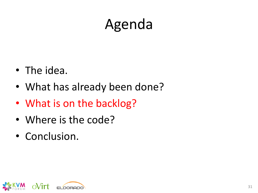## Agenda

- The idea.
- What has already been done?
- What is on the backlog?
- Where is the code?
- Conclusion.

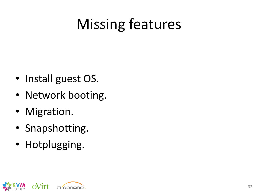## Missing features

- Install guest OS.
- Network booting.
- Migration.
- Snapshotting.
- Hotplugging.

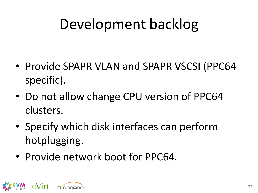## Development backlog

- Provide SPAPR VLAN and SPAPR VSCSI (PPC64 specific).
- Do not allow change CPU version of PPC64 clusters.
- Specify which disk interfaces can perform hotplugging.
- Provide network boot for PPC64.

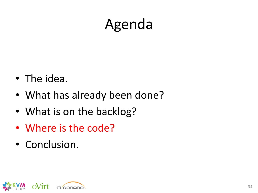## Agenda

- The idea.
- What has already been done?
- What is on the backlog?
- Where is the code?
- Conclusion.

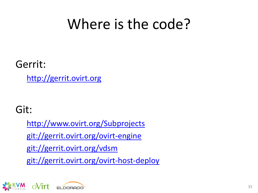### Where is the code?

Gerrit:

[http://gerrit.ovirt.org](http://gerrit.ovirt.org/)

Git:

[http://www.ovirt.org/Subprojects](http://www.ovirt.org/Subprojectsgit:/gerrit.ovirt.org/ovirt-engine) [git://gerrit.ovirt.org/ovirt-engine](http://www.ovirt.org/Subprojectsgit:/gerrit.ovirt.org/ovirt-engine) git://gerrit.ovirt.org/vdsm git://gerrit.ovirt.org/ovirt-host-deploy

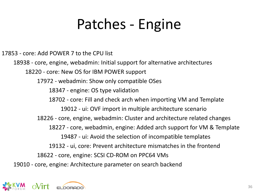### Patches - Engine

17853 - core: Add POWER 7 to the CPU list 18938 - core, engine, webadmin: Initial support for alternative architectures 18220 - core: New OS for IBM POWER support 17972 - webadmin: Show only compatible OSes 18347 - engine: OS type validation 18702 - core: Fill and check arch when importing VM and Template 19012 - ui: OVF import in multiple architecture scenario 18226 - core, engine, webadmin: Cluster and architecture related changes 18227 - core, webadmin, engine: Added arch support for VM & Template 19487 - ui: Avoid the selection of incompatible templates 19132 - ui, core: Prevent architecture mismatches in the frontend 18622 - core, engine: SCSI CD-ROM on PPC64 VMs 19010 - core, engine: Architecture parameter on search backend

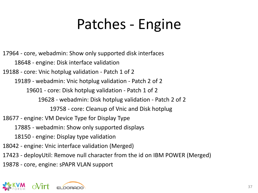## Patches - Engine

17964 - core, webadmin: Show only supported disk interfaces 18648 - engine: Disk interface validation 19188 - core: Vnic hotplug validation - Patch 1 of 2 19189 - webadmin: Vnic hotplug validation - Patch 2 of 2 19601 - core: Disk hotplug validation - Patch 1 of 2 19628 - webadmin: Disk hotplug validation - Patch 2 of 2 19758 - core: Cleanup of Vnic and Disk hotplug 18677 - engine: VM Device Type for Display Type 17885 - webadmin: Show only supported displays 18150 - engine: Display type validation 18042 - engine: Vnic interface validation (Merged) 17423 - deployUtil: Remove null character from the id on IBM POWER (Merged) 19878 - core, engine: sPAPR VLAN support

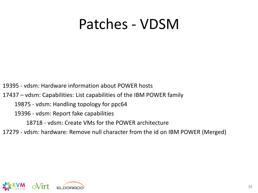### Patches - VDSM

19395 - vdsm: Hardware information about POWER hosts

17437 – vdsm: Capabilities: List capabilities of the IBM POWER family

19875 - vdsm: Handling topology for ppc64

19396 - vdsm: Report fake capabilities

18718 - vdsm: Create VMs for the POWER architecture

17279 - vdsm: hardware: Remove null character from the id on IBM POWER (Merged)

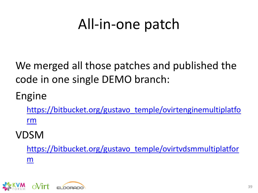### All-in-one patch

We merged all those patches and published the code in one single DEMO branch:

### Engine

[https://bitbucket.org/gustavo\\_temple/ovirtenginemultiplatfo](https://bitbucket.org/gustavo_temple/ovirtenginemultiplatform) [rm](https://bitbucket.org/gustavo_temple/ovirtenginemultiplatform)

#### VDSM

[https://bitbucket.org/gustavo\\_temple/ovirtvdsmmultiplatfor](https://bitbucket.org/gustavo_temple/ovirtvdsmmultiplatform) [m](https://bitbucket.org/gustavo_temple/ovirtvdsmmultiplatform)

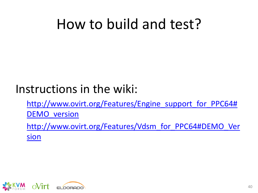### How to build and test?

### Instructions in the wiki[:](http://www.ovirt.org/Features/Engine_support_for_PPC64)

[http://www.ovirt.org/Features/Engine\\_support\\_for\\_PPC64#](http://www.ovirt.org/Features/Engine_support_for_PPC64) [DEMO\\_version](http://www.ovirt.org/Features/Engine_support_for_PPC64)

[http://www.ovirt.org/Features/Vdsm\\_for\\_PPC64#DEMO\\_Ver](http://www.ovirt.org/Features/Vdsm_for_PPC64) [sion](http://www.ovirt.org/Features/Vdsm_for_PPC64)

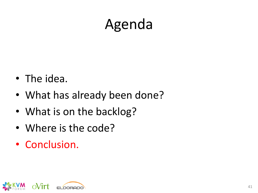## Agenda

- The idea.
- What has already been done?
- What is on the backlog?
- Where is the code?
- Conclusion.

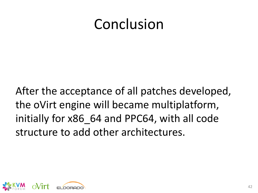### Conclusion

After the acceptance of all patches developed, the oVirt engine will became multiplatform, initially for x86\_64 and PPC64, with all code structure to add other architectures.

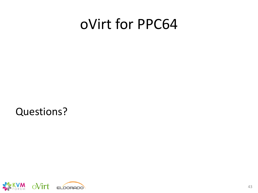### oVirt for PPC64

Questions?